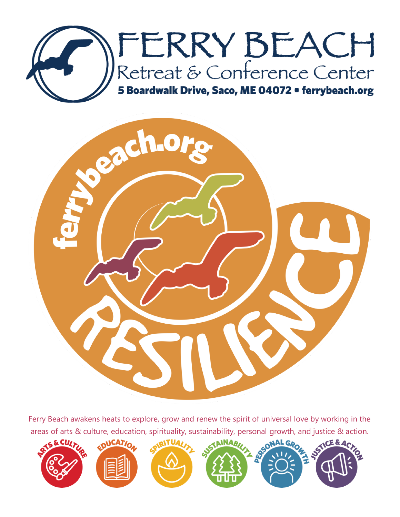



Ferry Beach awakens heats to explore, grow and renew the spirit of universal love by working in the areas of arts & culture, education, spirituality, sustainability, personal growth, and justice & action.

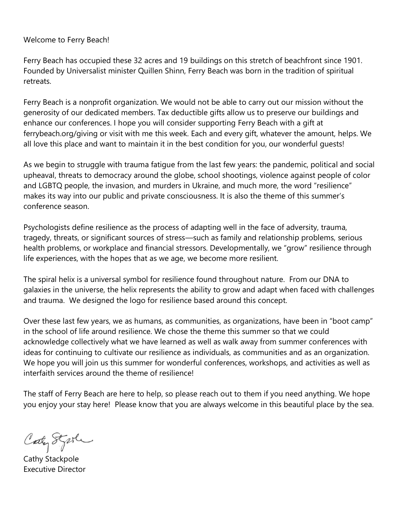#### Welcome to Ferry Beach!

Ferry Beach has occupied these 32 acres and 19 buildings on this stretch of beachfront since 1901. Founded by Universalist minister Quillen Shinn, Ferry Beach was born in the tradition of spiritual retreats.

Ferry Beach is a nonprofit organization. We would not be able to carry out our mission without the generosity of our dedicated members. Tax deductible gifts allow us to preserve our buildings and enhance our conferences. I hope you will consider supporting Ferry Beach with a gift at ferrybeach.org/giving or visit with me this week. Each and every gift, whatever the amount, helps. We all love this place and want to maintain it in the best condition for you, our wonderful guests!

As we begin to struggle with trauma fatigue from the last few years: the pandemic, political and social upheaval, threats to democracy around the globe, school shootings, violence against people of color and LGBTQ people, the invasion, and murders in Ukraine, and much more, the word "resilience" makes its way into our public and private consciousness. It is also the theme of this summer's conference season.

Psychologists define resilience as the process of adapting well in the face of adversity, trauma, tragedy, threats, or significant sources of stress—such as family and relationship problems, serious health problems, or workplace and financial stressors. Developmentally, we "grow" resilience through life experiences, with the hopes that as we age, we become more resilient.

The spiral helix is a universal symbol for resilience found throughout nature. From our DNA to galaxies in the universe, the helix represents the ability to grow and adapt when faced with challenges and trauma. We designed the logo for resilience based around this concept.

Over these last few years, we as humans, as communities, as organizations, have been in "boot camp" in the school of life around resilience. We chose the theme this summer so that we could acknowledge collectively what we have learned as well as walk away from summer conferences with ideas for continuing to cultivate our resilience as individuals, as communities and as an organization. We hope you will join us this summer for wonderful conferences, workshops, and activities as well as interfaith services around the theme of resilience!

The staff of Ferry Beach are here to help, so please reach out to them if you need anything. We hope you enjoy your stay here! Please know that you are always welcome in this beautiful place by the sea.

Caty Styste

Cathy Stackpole Executive Director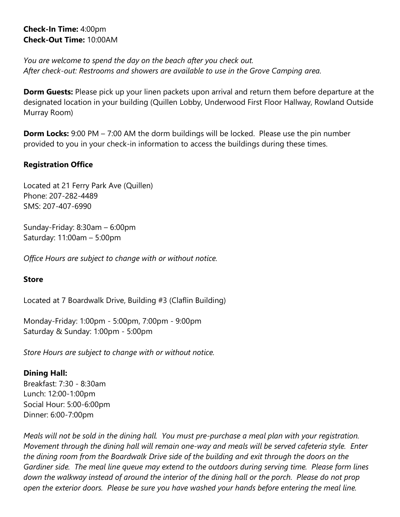**Check-In Time:** 4:00pm **Check-Out Time:** 10:00AM

*You are welcome to spend the day on the beach after you check out. After check-out: Restrooms and showers are available to use in the Grove Camping area.*

**Dorm Guests:** Please pick up your linen packets upon arrival and return them before departure at the designated location in your building (Quillen Lobby, Underwood First Floor Hallway, Rowland Outside Murray Room)

**Dorm Locks:** 9:00 PM – 7:00 AM the dorm buildings will be locked. Please use the pin number provided to you in your check-in information to access the buildings during these times.

## **Registration Office**

Located at 21 Ferry Park Ave (Quillen) Phone: 207-282-4489 SMS: 207-407-6990

Sunday-Friday: 8:30am – 6:00pm Saturday: 11:00am – 5:00pm

*Office Hours are subject to change with or without notice.*

# **Store**

Located at 7 Boardwalk Drive, Building #3 (Claflin Building)

Monday-Friday: 1:00pm - 5:00pm, 7:00pm - 9:00pm Saturday & Sunday: 1:00pm - 5:00pm

*Store Hours are subject to change with or without notice.*

# **Dining Hall:**

Breakfast: 7:30 - 8:30am Lunch: 12:00-1:00pm Social Hour: 5:00-6:00pm Dinner: 6:00-7:00pm

*Meals will not be sold in the dining hall. You must pre-purchase a meal plan with your registration. Movement through the dining hall will remain one-way and meals will be served cafeteria style. Enter the dining room from the Boardwalk Drive side of the building and exit through the doors on the Gardiner side. The meal line queue may extend to the outdoors during serving time. Please form lines down the walkway instead of around the interior of the dining hall or the porch. Please do not prop open the exterior doors. Please be sure you have washed your hands before entering the meal line.*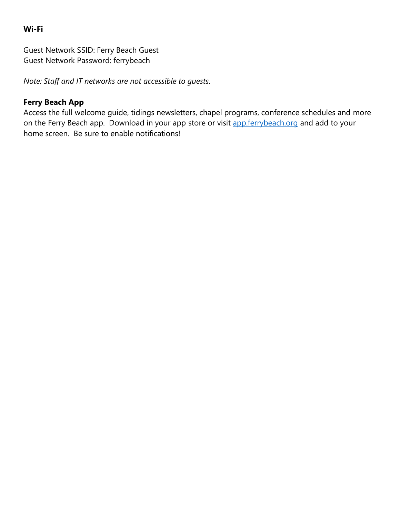### **Wi-Fi**

Guest Network SSID: Ferry Beach Guest Guest Network Password: ferrybeach

*Note: Staff and IT networks are not accessible to guests.*

## **Ferry Beach App**

Access the full welcome guide, tidings newsletters, chapel programs, conference schedules and more on the Ferry Beach app. Download in your app store or visit **app.ferrybeach.org** and add to your home screen. Be sure to enable notifications!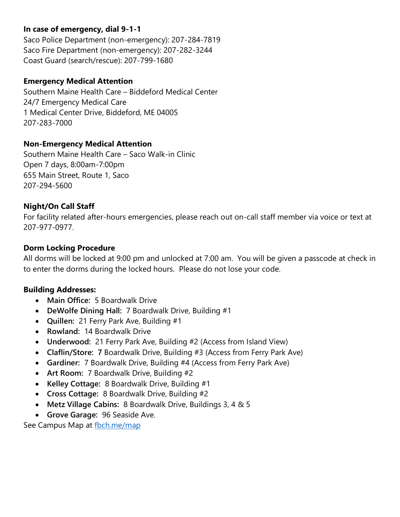## **In case of emergency, dial 9-1-1**

Saco Police Department (non‐emergency): 207-284-7819 Saco Fire Department (non‐emergency): 207-282-3244 Coast Guard (search/rescue): 207-799-1680

#### **Emergency Medical Attention**

Southern Maine Health Care – Biddeford Medical Center 24/7 Emergency Medical Care 1 Medical Center Drive, Biddeford, ME 04005 207-283-7000

## **Non-Emergency Medical Attention**

Southern Maine Health Care – Saco Walk-in Clinic Open 7 days, 8:00am-7:00pm 655 Main Street, Route 1, Saco 207-294-5600

## **Night/On Call Staff**

For facility related after-hours emergencies, please reach out on-call staff member via voice or text at 207-977-0977.

#### **Dorm Locking Procedure**

All dorms will be locked at 9:00 pm and unlocked at 7:00 am. You will be given a passcode at check in to enter the dorms during the locked hours. Please do not lose your code.

#### **Building Addresses:**

- **Main Office:** 5 Boardwalk Drive
- **DeWolfe Dining Hall:** 7 Boardwalk Drive, Building #1
- **Quillen:** 21 Ferry Park Ave, Building #1
- **Rowland:** 14 Boardwalk Drive
- **Underwood:** 21 Ferry Park Ave, Building #2 (Access from Island View)
- **Claflin/Store: 7** Boardwalk Drive, Building #3 (Access from Ferry Park Ave)
- **Gardiner:** 7 Boardwalk Drive, Building #4 (Access from Ferry Park Ave)
- **Art Room:** 7 Boardwalk Drive, Building #2
- **Kelley Cottage:** 8 Boardwalk Drive, Building #1
- **Cross Cottage:** 8 Boardwalk Drive, Building #2
- **Metz Village Cabins:** 8 Boardwalk Drive, Buildings 3, 4 & 5
- **Grove Garage:** 96 Seaside Ave.

See Campus Map at [fbch.me/map](http://www.fbch.me/map)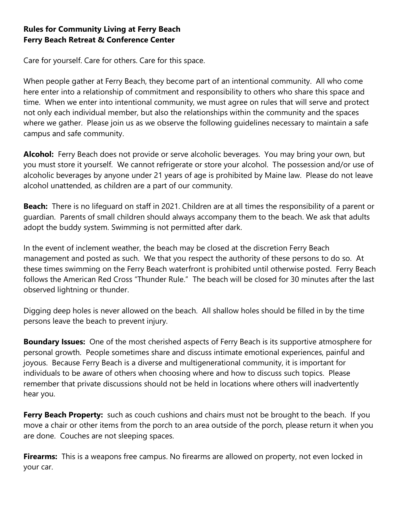# **Rules for Community Living at Ferry Beach Ferry Beach Retreat & Conference Center**

Care for yourself. Care for others. Care for this space.

When people gather at Ferry Beach, they become part of an intentional community. All who come here enter into a relationship of commitment and responsibility to others who share this space and time. When we enter into intentional community, we must agree on rules that will serve and protect not only each individual member, but also the relationships within the community and the spaces where we gather. Please join us as we observe the following guidelines necessary to maintain a safe campus and safe community.

**Alcohol:** Ferry Beach does not provide or serve alcoholic beverages. You may bring your own, but you must store it yourself. We cannot refrigerate or store your alcohol. The possession and/or use of alcoholic beverages by anyone under 21 years of age is prohibited by Maine law. Please do not leave alcohol unattended, as children are a part of our community.

**Beach:** There is no lifeguard on staff in 2021. Children are at all times the responsibility of a parent or guardian. Parents of small children should always accompany them to the beach. We ask that adults adopt the buddy system. Swimming is not permitted after dark.

In the event of inclement weather, the beach may be closed at the discretion Ferry Beach management and posted as such. We that you respect the authority of these persons to do so. At these times swimming on the Ferry Beach waterfront is prohibited until otherwise posted. Ferry Beach follows the American Red Cross "Thunder Rule." The beach will be closed for 30 minutes after the last observed lightning or thunder.

Digging deep holes is never allowed on the beach. All shallow holes should be filled in by the time persons leave the beach to prevent injury.

**Boundary Issues:** One of the most cherished aspects of Ferry Beach is its supportive atmosphere for personal growth. People sometimes share and discuss intimate emotional experiences, painful and joyous. Because Ferry Beach is a diverse and multigenerational community, it is important for individuals to be aware of others when choosing where and how to discuss such topics. Please remember that private discussions should not be held in locations where others will inadvertently hear you.

**Ferry Beach Property:** such as couch cushions and chairs must not be brought to the beach. If you move a chair or other items from the porch to an area outside of the porch, please return it when you are done. Couches are not sleeping spaces.

**Firearms:** This is a weapons free campus. No firearms are allowed on property, not even locked in your car.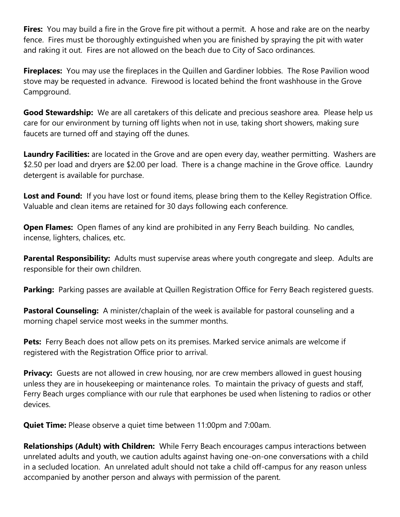**Fires:** You may build a fire in the Grove fire pit without a permit. A hose and rake are on the nearby fence. Fires must be thoroughly extinguished when you are finished by spraying the pit with water and raking it out. Fires are not allowed on the beach due to City of Saco ordinances.

**Fireplaces:** You may use the fireplaces in the Quillen and Gardiner lobbies. The Rose Pavilion wood stove may be requested in advance. Firewood is located behind the front washhouse in the Grove Campground.

**Good Stewardship:** We are all caretakers of this delicate and precious seashore area. Please help us care for our environment by turning off lights when not in use, taking short showers, making sure faucets are turned off and staying off the dunes.

**Laundry Facilities:** are located in the Grove and are open every day, weather permitting. Washers are \$2.50 per load and dryers are \$2.00 per load. There is a change machine in the Grove office. Laundry detergent is available for purchase.

Lost and Found: If you have lost or found items, please bring them to the Kelley Registration Office. Valuable and clean items are retained for 30 days following each conference.

**Open Flames:** Open flames of any kind are prohibited in any Ferry Beach building. No candles, incense, lighters, chalices, etc.

Parental Responsibility: Adults must supervise areas where youth congregate and sleep. Adults are responsible for their own children.

**Parking:** Parking passes are available at Quillen Registration Office for Ferry Beach registered guests.

**Pastoral Counseling:** A minister/chaplain of the week is available for pastoral counseling and a morning chapel service most weeks in the summer months.

**Pets:** Ferry Beach does not allow pets on its premises. Marked service animals are welcome if registered with the Registration Office prior to arrival.

**Privacy:** Guests are not allowed in crew housing, nor are crew members allowed in quest housing unless they are in housekeeping or maintenance roles. To maintain the privacy of guests and staff, Ferry Beach urges compliance with our rule that earphones be used when listening to radios or other devices.

**Quiet Time:** Please observe a quiet time between 11:00pm and 7:00am.

**Relationships (Adult) with Children:** While Ferry Beach encourages campus interactions between unrelated adults and youth, we caution adults against having one-on-one conversations with a child in a secluded location. An unrelated adult should not take a child off-campus for any reason unless accompanied by another person and always with permission of the parent.